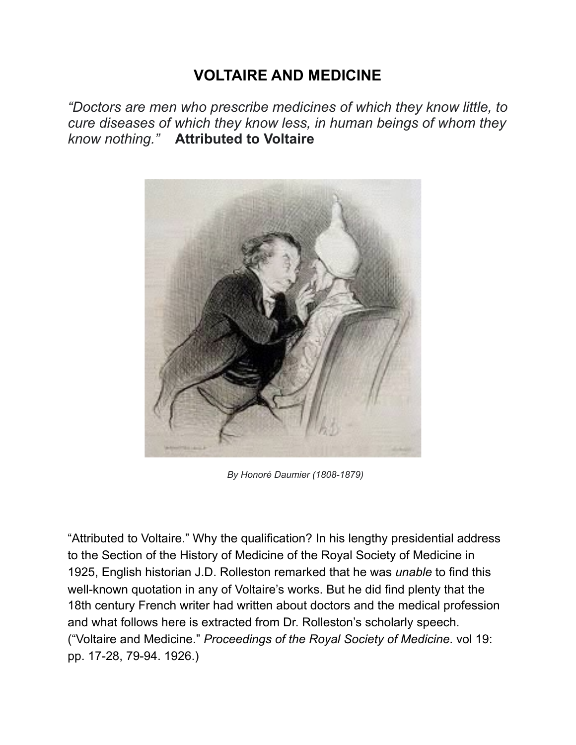## **VOLTAIRE AND MEDICINE**

*"Doctors are men who prescribe medicines of which they know little, to cure diseases of which they know less, in human beings of whom they know nothing."* **Attributed to Voltaire** 



 *By Honoré Daumier (1808-1879)* 

"Attributed to Voltaire." Why the qualification? In his lengthy presidential address to the Section of the History of Medicine of the Royal Society of Medicine in 1925, English historian J.D. Rolleston remarked that he was *unable* to find this well-known quotation in any of Voltaire's works. But he did find plenty that the 18th century French writer had written about doctors and the medical profession and what follows here is extracted from Dr. Rolleston's scholarly speech. ("Voltaire and Medicine." *Proceedings of the Royal Society of Medicine*. vol 19: pp. 17-28, 79-94. 1926.)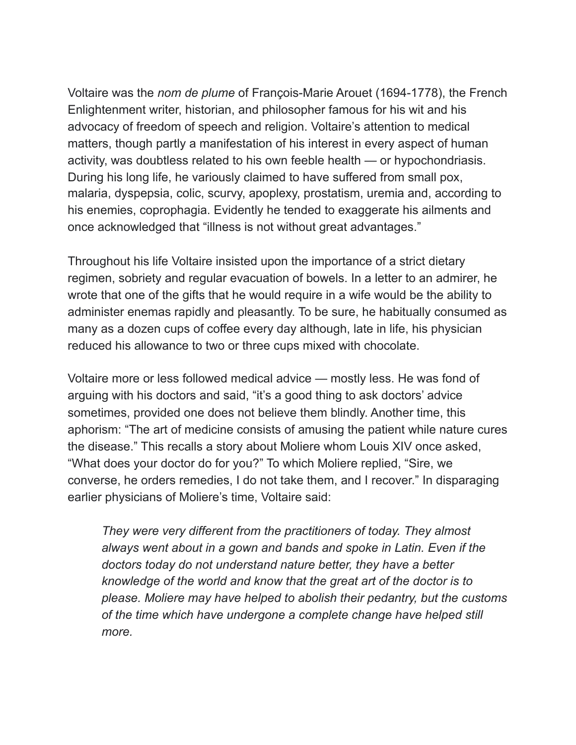Voltaire was the *nom de plume* of François-Marie Arouet (1694-1778), the French Enlightenment writer, historian, and philosopher famous for his wit and his advocacy of freedom of speech and religion. Voltaire's attention to medical matters, though partly a manifestation of his interest in every aspect of human activity, was doubtless related to his own feeble health — or hypochondriasis. During his long life, he variously claimed to have suffered from small pox, malaria, dyspepsia, colic, scurvy, apoplexy, prostatism, uremia and, according to his enemies, coprophagia. Evidently he tended to exaggerate his ailments and once acknowledged that "illness is not without great advantages."

Throughout his life Voltaire insisted upon the importance of a strict dietary regimen, sobriety and regular evacuation of bowels. In a letter to an admirer, he wrote that one of the gifts that he would require in a wife would be the ability to administer enemas rapidly and pleasantly. To be sure, he habitually consumed as many as a dozen cups of coffee every day although, late in life, his physician reduced his allowance to two or three cups mixed with chocolate.

Voltaire more or less followed medical advice — mostly less. He was fond of arguing with his doctors and said, "it's a good thing to ask doctors' advice sometimes, provided one does not believe them blindly. Another time, this aphorism: "The art of medicine consists of amusing the patient while nature cures the disease." This recalls a story about Moliere whom Louis XIV once asked, "What does your doctor do for you?" To which Moliere replied, "Sire, we converse, he orders remedies, I do not take them, and I recover." In disparaging earlier physicians of Moliere's time, Voltaire said:

 *They were very different from the practitioners of today. They almost always went about in a gown and bands and spoke in Latin. Even if the doctors today do not understand nature better, they have a better knowledge of the world and know that the great art of the doctor is to please. Moliere may have helped to abolish their pedantry, but the customs of the time which have undergone a complete change have helped still more.*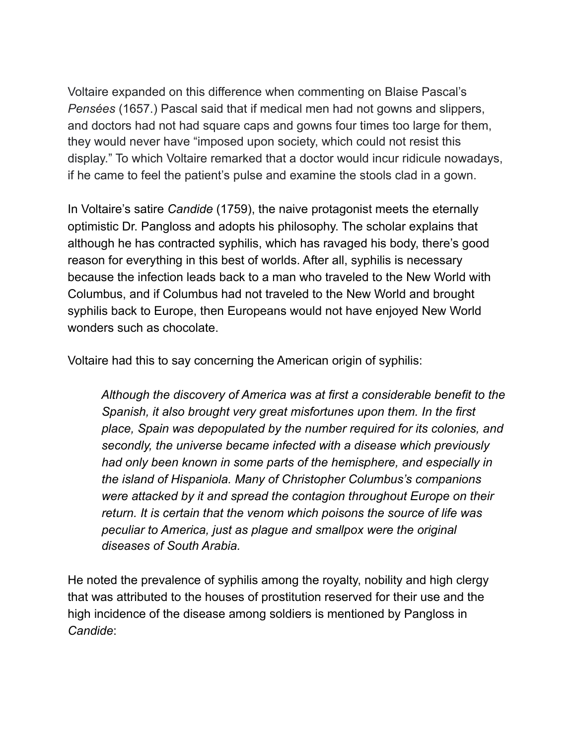Voltaire expanded on this difference when commenting on Blaise Pascal's *Pensées* (1657.) Pascal said that if medical men had not gowns and slippers, and doctors had not had square caps and gowns four times too large for them, they would never have "imposed upon society, which could not resist this display." To which Voltaire remarked that a doctor would incur ridicule nowadays, if he came to feel the patient's pulse and examine the stools clad in a gown.

In Voltaire's satire *Candide* (1759), the naive protagonist meets the eternally optimistic Dr. Pangloss and adopts his philosophy. The scholar explains that although he has contracted syphilis, which has ravaged his body, there's good reason for everything in this best of worlds. After all, syphilis is necessary because the infection leads back to a man who traveled to the New World with Columbus, and if Columbus had not traveled to the New World and brought syphilis back to Europe, then Europeans would not have enjoyed New World wonders such as chocolate.

Voltaire had this to say concerning the American origin of syphilis:

 *Although the discovery of America was at first a considerable benefit to the Spanish, it also brought very great misfortunes upon them. In the first place, Spain was depopulated by the number required for its colonies, and secondly, the universe became infected with a disease which previously had only been known in some parts of the hemisphere, and especially in the island of Hispaniola. Many of Christopher Columbus's companions were attacked by it and spread the contagion throughout Europe on their return. It is certain that the venom which poisons the source of life was peculiar to America, just as plague and smallpox were the original diseases of South Arabia.* 

He noted the prevalence of syphilis among the royalty, nobility and high clergy that was attributed to the houses of prostitution reserved for their use and the high incidence of the disease among soldiers is mentioned by Pangloss in *Candide*: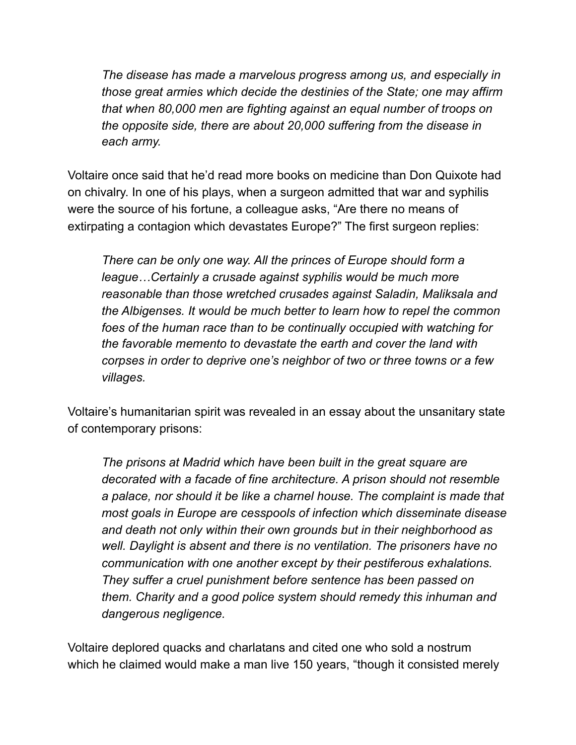*The disease has made a marvelous progress among us, and especially in those great armies which decide the destinies of the State; one may affirm that when 80,000 men are fighting against an equal number of troops on the opposite side, there are about 20,000 suffering from the disease in each army.* 

Voltaire once said that he'd read more books on medicine than Don Quixote had on chivalry. In one of his plays, when a surgeon admitted that war and syphilis were the source of his fortune, a colleague asks, "Are there no means of extirpating a contagion which devastates Europe?" The first surgeon replies:

 *There can be only one way. All the princes of Europe should form a league…Certainly a crusade against syphilis would be much more reasonable than those wretched crusades against Saladin, Maliksala and the Albigenses. It would be much better to learn how to repel the common foes of the human race than to be continually occupied with watching for the favorable memento to devastate the earth and cover the land with corpses in order to deprive one's neighbor of two or three towns or a few villages.* 

Voltaire's humanitarian spirit was revealed in an essay about the unsanitary state of contemporary prisons:

 *The prisons at Madrid which have been built in the great square are decorated with a facade of fine architecture. A prison should not resemble a palace, nor should it be like a charnel house. The complaint is made that most goals in Europe are cesspools of infection which disseminate disease and death not only within their own grounds but in their neighborhood as well. Daylight is absent and there is no ventilation. The prisoners have no communication with one another except by their pestiferous exhalations. They suffer a cruel punishment before sentence has been passed on them. Charity and a good police system should remedy this inhuman and dangerous negligence.* 

Voltaire deplored quacks and charlatans and cited one who sold a nostrum which he claimed would make a man live 150 years, "though it consisted merely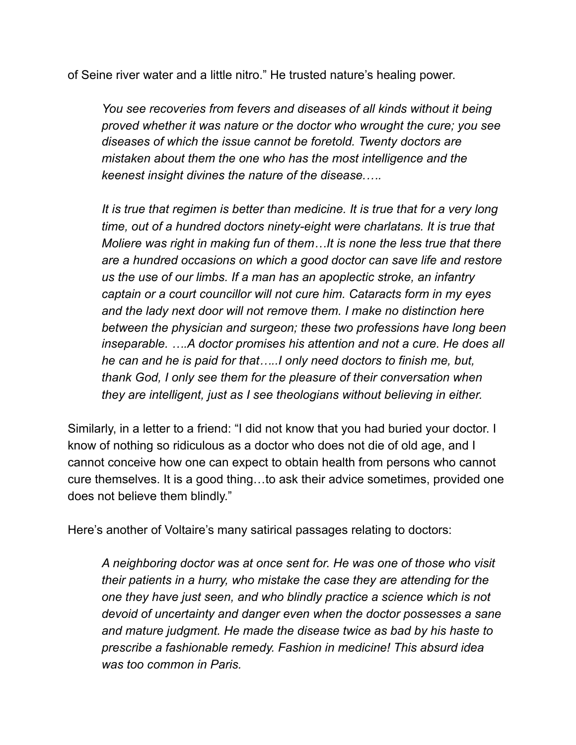of Seine river water and a little nitro." He trusted nature's healing power.

 *You see recoveries from fevers and diseases of all kinds without it being proved whether it was nature or the doctor who wrought the cure; you see diseases of which the issue cannot be foretold. Twenty doctors are mistaken about them the one who has the most intelligence and the keenest insight divines the nature of the disease.….* 

 *It is true that regimen is better than medicine. It is true that for a very long time, out of a hundred doctors ninety-eight were charlatans. It is true that Moliere was right in making fun of them…It is none the less true that there are a hundred occasions on which a good doctor can save life and restore us the use of our limbs. If a man has an apoplectic stroke, an infantry captain or a court councillor will not cure him. Cataracts form in my eyes and the lady next door will not remove them. I make no distinction here between the physician and surgeon; these two professions have long been inseparable. ….A doctor promises his attention and not a cure. He does all he can and he is paid for that…..I only need doctors to finish me, but, thank God, I only see them for the pleasure of their conversation when they are intelligent, just as I see theologians without believing in either.* 

Similarly, in a letter to a friend: "I did not know that you had buried your doctor. I know of nothing so ridiculous as a doctor who does not die of old age, and I cannot conceive how one can expect to obtain health from persons who cannot cure themselves. It is a good thing…to ask their advice sometimes, provided one does not believe them blindly."

Here's another of Voltaire's many satirical passages relating to doctors:

 *A neighboring doctor was at once sent for. He was one of those who visit their patients in a hurry, who mistake the case they are attending for the one they have just seen, and who blindly practice a science which is not devoid of uncertainty and danger even when the doctor possesses a sane and mature judgment. He made the disease twice as bad by his haste to prescribe a fashionable remedy. Fashion in medicine! This absurd idea was too common in Paris.*